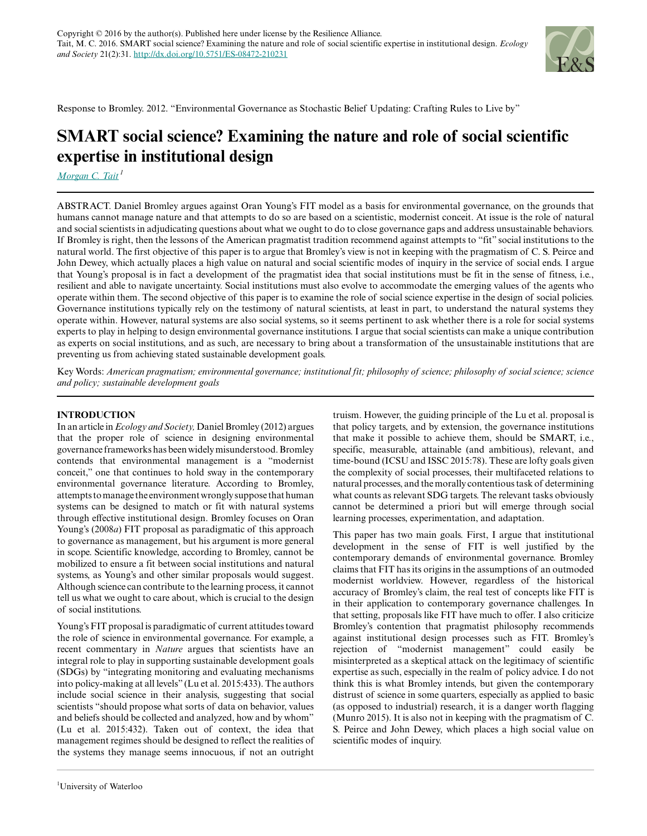

Response to Bromley. 2012. "Environmental Governance as Stochastic Belief Updating: Crafting Rules to Live by"

# **SMART social science? Examining the nature and role of social scientific expertise in institutional design**

*[Morgan C. Tait](mailto:m5tait@uwaterloo.ca)<sup>1</sup>*

ABSTRACT. Daniel Bromley argues against Oran Young's FIT model as a basis for environmental governance, on the grounds that humans cannot manage nature and that attempts to do so are based on a scientistic, modernist conceit. At issue is the role of natural and social scientists in adjudicating questions about what we ought to do to close governance gaps and address unsustainable behaviors. If Bromley is right, then the lessons of the American pragmatist tradition recommend against attempts to "fit" social institutions to the natural world. The first objective of this paper is to argue that Bromley's view is not in keeping with the pragmatism of C. S. Peirce and John Dewey, which actually places a high value on natural and social scientific modes of inquiry in the service of social ends. I argue that Young's proposal is in fact a development of the pragmatist idea that social institutions must be fit in the sense of fitness, i.e., resilient and able to navigate uncertainty. Social institutions must also evolve to accommodate the emerging values of the agents who operate within them. The second objective of this paper is to examine the role of social science expertise in the design of social policies. Governance institutions typically rely on the testimony of natural scientists, at least in part, to understand the natural systems they operate within. However, natural systems are also social systems, so it seems pertinent to ask whether there is a role for social systems experts to play in helping to design environmental governance institutions. I argue that social scientists can make a unique contribution as experts on social institutions, and as such, are necessary to bring about a transformation of the unsustainable institutions that are preventing us from achieving stated sustainable development goals.

Key Words: *American pragmatism; environmental governance; institutional fit; philosophy of science; philosophy of social science; science and policy; sustainable development goals*

## **INTRODUCTION**

In an article in *Ecology and Society,* Daniel Bromley (2012) argues that the proper role of science in designing environmental governance frameworks has been widely misunderstood. Bromley contends that environmental management is a "modernist conceit," one that continues to hold sway in the contemporary environmental governance literature. According to Bromley, attempts to manage the environment wrongly suppose that human systems can be designed to match or fit with natural systems through effective institutional design. Bromley focuses on Oran Young's (2008*a*) FIT proposal as paradigmatic of this approach to governance as management, but his argument is more general in scope. Scientific knowledge, according to Bromley, cannot be mobilized to ensure a fit between social institutions and natural systems, as Young's and other similar proposals would suggest. Although science can contribute to the learning process, it cannot tell us what we ought to care about, which is crucial to the design of social institutions.

Young's FIT proposal is paradigmatic of current attitudes toward the role of science in environmental governance. For example, a recent commentary in *Nature* argues that scientists have an integral role to play in supporting sustainable development goals (SDGs) by "integrating monitoring and evaluating mechanisms into policy-making at all levels" (Lu et al. 2015:433). The authors include social science in their analysis, suggesting that social scientists "should propose what sorts of data on behavior, values and beliefs should be collected and analyzed, how and by whom" (Lu et al. 2015:432). Taken out of context, the idea that management regimes should be designed to reflect the realities of the systems they manage seems innocuous, if not an outright truism. However, the guiding principle of the Lu et al. proposal is that policy targets, and by extension, the governance institutions that make it possible to achieve them, should be SMART, i.e., specific, measurable, attainable (and ambitious), relevant, and time-bound (ICSU and ISSC 2015:78). These are lofty goals given the complexity of social processes, their multifaceted relations to natural processes, and the morally contentious task of determining what counts as relevant SDG targets. The relevant tasks obviously cannot be determined a priori but will emerge through social learning processes, experimentation, and adaptation.

This paper has two main goals. First, I argue that institutional development in the sense of FIT is well justified by the contemporary demands of environmental governance. Bromley claims that FIT has its origins in the assumptions of an outmoded modernist worldview. However, regardless of the historical accuracy of Bromley's claim, the real test of concepts like FIT is in their application to contemporary governance challenges. In that setting, proposals like FIT have much to offer. I also criticize Bromley's contention that pragmatist philosophy recommends against institutional design processes such as FIT. Bromley's rejection of "modernist management" could easily be misinterpreted as a skeptical attack on the legitimacy of scientific expertise as such, especially in the realm of policy advice. I do not think this is what Bromley intends, but given the contemporary distrust of science in some quarters, especially as applied to basic (as opposed to industrial) research, it is a danger worth flagging (Munro 2015). It is also not in keeping with the pragmatism of C. S. Peirce and John Dewey, which places a high social value on scientific modes of inquiry.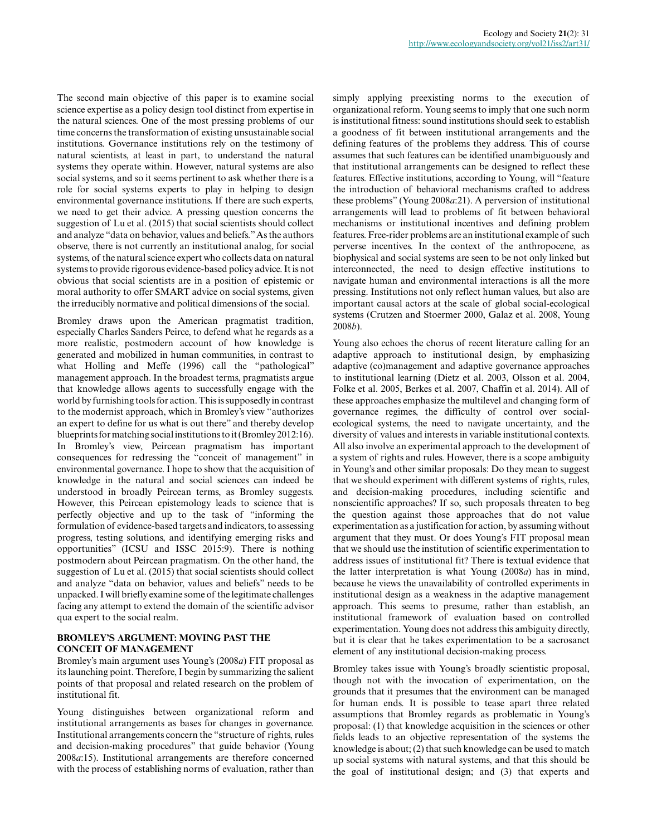The second main objective of this paper is to examine social science expertise as a policy design tool distinct from expertise in the natural sciences. One of the most pressing problems of our time concerns the transformation of existing unsustainable social institutions. Governance institutions rely on the testimony of natural scientists, at least in part, to understand the natural systems they operate within. However, natural systems are also social systems, and so it seems pertinent to ask whether there is a role for social systems experts to play in helping to design environmental governance institutions. If there are such experts, we need to get their advice. A pressing question concerns the suggestion of Lu et al. (2015) that social scientists should collect and analyze "data on behavior, values and beliefs." As the authors observe, there is not currently an institutional analog, for social systems, of the natural science expert who collects data on natural systems to provide rigorous evidence-based policy advice. It is not obvious that social scientists are in a position of epistemic or moral authority to offer SMART advice on social systems, given the irreducibly normative and political dimensions of the social.

Bromley draws upon the American pragmatist tradition, especially Charles Sanders Peirce, to defend what he regards as a more realistic, postmodern account of how knowledge is generated and mobilized in human communities, in contrast to what Holling and Meffe (1996) call the "pathological" management approach. In the broadest terms, pragmatists argue that knowledge allows agents to successfully engage with the world by furnishing tools for action. This is supposedly in contrast to the modernist approach, which in Bromley's view "authorizes an expert to define for us what is out there" and thereby develop blueprints for matching social institutions to it (Bromley 2012:16). In Bromley's view, Peircean pragmatism has important consequences for redressing the "conceit of management" in environmental governance. I hope to show that the acquisition of knowledge in the natural and social sciences can indeed be understood in broadly Peircean terms, as Bromley suggests. However, this Peircean epistemology leads to science that is perfectly objective and up to the task of "informing the formulation of evidence-based targets and indicators, to assessing progress, testing solutions, and identifying emerging risks and opportunities" (ICSU and ISSC 2015:9). There is nothing postmodern about Peircean pragmatism. On the other hand, the suggestion of Lu et al. (2015) that social scientists should collect and analyze "data on behavior, values and beliefs" needs to be unpacked. I will briefly examine some of the legitimate challenges facing any attempt to extend the domain of the scientific advisor qua expert to the social realm.

## **BROMLEY'S ARGUMENT: MOVING PAST THE CONCEIT OF MANAGEMENT**

Bromley's main argument uses Young's (2008*a*) FIT proposal as its launching point. Therefore, I begin by summarizing the salient points of that proposal and related research on the problem of institutional fit.

Young distinguishes between organizational reform and institutional arrangements as bases for changes in governance. Institutional arrangements concern the "structure of rights, rules and decision-making procedures" that guide behavior (Young 2008*a*:15). Institutional arrangements are therefore concerned with the process of establishing norms of evaluation, rather than

simply applying preexisting norms to the execution of organizational reform. Young seems to imply that one such norm is institutional fitness: sound institutions should seek to establish a goodness of fit between institutional arrangements and the defining features of the problems they address. This of course assumes that such features can be identified unambiguously and that institutional arrangements can be designed to reflect these features. Effective institutions, according to Young, will "feature the introduction of behavioral mechanisms crafted to address these problems" (Young 2008*a*:21). A perversion of institutional arrangements will lead to problems of fit between behavioral mechanisms or institutional incentives and defining problem features. Free-rider problems are an institutional example of such perverse incentives. In the context of the anthropocene, as biophysical and social systems are seen to be not only linked but interconnected, the need to design effective institutions to navigate human and environmental interactions is all the more pressing. Institutions not only reflect human values, but also are important causal actors at the scale of global social-ecological systems (Crutzen and Stoermer 2000, Galaz et al. 2008, Young 2008*b*).

Young also echoes the chorus of recent literature calling for an adaptive approach to institutional design, by emphasizing adaptive (co)management and adaptive governance approaches to institutional learning (Dietz et al. 2003, Olsson et al. 2004, Folke et al. 2005, Berkes et al. 2007, Chaffin et al. 2014). All of these approaches emphasize the multilevel and changing form of governance regimes, the difficulty of control over socialecological systems, the need to navigate uncertainty, and the diversity of values and interests in variable institutional contexts. All also involve an experimental approach to the development of a system of rights and rules. However, there is a scope ambiguity in Young's and other similar proposals: Do they mean to suggest that we should experiment with different systems of rights, rules, and decision-making procedures, including scientific and nonscientific approaches? If so, such proposals threaten to beg the question against those approaches that do not value experimentation as a justification for action, by assuming without argument that they must. Or does Young's FIT proposal mean that we should use the institution of scientific experimentation to address issues of institutional fit? There is textual evidence that the latter interpretation is what Young (2008*a*) has in mind, because he views the unavailability of controlled experiments in institutional design as a weakness in the adaptive management approach. This seems to presume, rather than establish, an institutional framework of evaluation based on controlled experimentation. Young does not address this ambiguity directly, but it is clear that he takes experimentation to be a sacrosanct element of any institutional decision-making process.

Bromley takes issue with Young's broadly scientistic proposal, though not with the invocation of experimentation, on the grounds that it presumes that the environment can be managed for human ends. It is possible to tease apart three related assumptions that Bromley regards as problematic in Young's proposal: (1) that knowledge acquisition in the sciences or other fields leads to an objective representation of the systems the knowledge is about; (2) that such knowledge can be used to match up social systems with natural systems, and that this should be the goal of institutional design; and (3) that experts and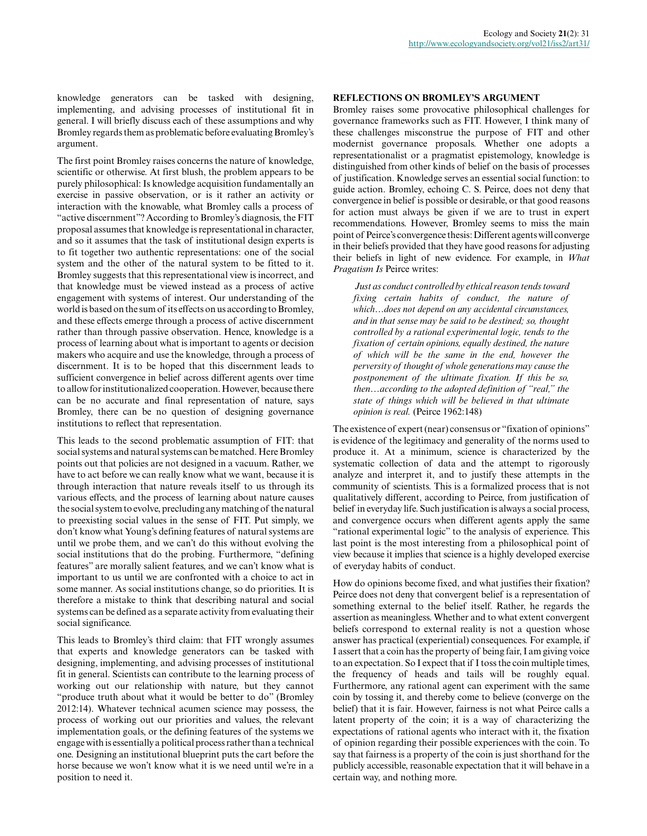knowledge generators can be tasked with designing, implementing, and advising processes of institutional fit in general. I will briefly discuss each of these assumptions and why Bromley regards them as problematic before evaluating Bromley's argument.

The first point Bromley raises concerns the nature of knowledge, scientific or otherwise. At first blush, the problem appears to be purely philosophical: Is knowledge acquisition fundamentally an exercise in passive observation, or is it rather an activity or interaction with the knowable, what Bromley calls a process of "active discernment"? According to Bromley's diagnosis, the FIT proposal assumes that knowledge is representational in character, and so it assumes that the task of institutional design experts is to fit together two authentic representations: one of the social system and the other of the natural system to be fitted to it. Bromley suggests that this representational view is incorrect, and that knowledge must be viewed instead as a process of active engagement with systems of interest. Our understanding of the world is based on the sum of its effects on us according to Bromley, and these effects emerge through a process of active discernment rather than through passive observation. Hence, knowledge is a process of learning about what is important to agents or decision makers who acquire and use the knowledge, through a process of discernment. It is to be hoped that this discernment leads to sufficient convergence in belief across different agents over time to allow for institutionalized cooperation. However, because there can be no accurate and final representation of nature, says Bromley, there can be no question of designing governance institutions to reflect that representation.

This leads to the second problematic assumption of FIT: that social systems and natural systems can be matched. Here Bromley points out that policies are not designed in a vacuum. Rather, we have to act before we can really know what we want, because it is through interaction that nature reveals itself to us through its various effects, and the process of learning about nature causes the social system to evolve, precluding any matching of the natural to preexisting social values in the sense of FIT. Put simply, we don't know what Young's defining features of natural systems are until we probe them, and we can't do this without evolving the social institutions that do the probing. Furthermore, "defining features" are morally salient features, and we can't know what is important to us until we are confronted with a choice to act in some manner. As social institutions change, so do priorities. It is therefore a mistake to think that describing natural and social systems can be defined as a separate activity from evaluating their social significance.

This leads to Bromley's third claim: that FIT wrongly assumes that experts and knowledge generators can be tasked with designing, implementing, and advising processes of institutional fit in general. Scientists can contribute to the learning process of working out our relationship with nature, but they cannot "produce truth about what it would be better to do" (Bromley 2012:14). Whatever technical acumen science may possess, the process of working out our priorities and values, the relevant implementation goals, or the defining features of the systems we engage with is essentially a political process rather than a technical one. Designing an institutional blueprint puts the cart before the horse because we won't know what it is we need until we're in a position to need it.

## **REFLECTIONS ON BROMLEY'S ARGUMENT**

Bromley raises some provocative philosophical challenges for governance frameworks such as FIT. However, I think many of these challenges misconstrue the purpose of FIT and other modernist governance proposals. Whether one adopts a representationalist or a pragmatist epistemology, knowledge is distinguished from other kinds of belief on the basis of processes of justification. Knowledge serves an essential social function: to guide action. Bromley, echoing C. S. Peirce, does not deny that convergence in belief is possible or desirable, or that good reasons for action must always be given if we are to trust in expert recommendations. However, Bromley seems to miss the main point of Peirce's convergence thesis: Different agents will converge in their beliefs provided that they have good reasons for adjusting their beliefs in light of new evidence. For example, in *What Pragatism Is* Peirce writes:

*Just as conduct controlled by ethical reason tends toward fixing certain habits of conduct, the nature of which…does not depend on any accidental circumstances, and in that sense may be said to be destined; so, thought controlled by a rational experimental logic, tends to the fixation of certain opinions, equally destined, the nature of which will be the same in the end, however the perversity of thought of whole generations may cause the postponement of the ultimate fixation. If this be so, then…according to the adopted definition of "real," the state of things which will be believed in that ultimate opinion is real.* (Peirce 1962:148)

The existence of expert (near) consensus or "fixation of opinions" is evidence of the legitimacy and generality of the norms used to produce it. At a minimum, science is characterized by the systematic collection of data and the attempt to rigorously analyze and interpret it, and to justify these attempts in the community of scientists. This is a formalized process that is not qualitatively different, according to Peirce, from justification of belief in everyday life. Such justification is always a social process, and convergence occurs when different agents apply the same "rational experimental logic" to the analysis of experience. This last point is the most interesting from a philosophical point of view because it implies that science is a highly developed exercise of everyday habits of conduct.

How do opinions become fixed, and what justifies their fixation? Peirce does not deny that convergent belief is a representation of something external to the belief itself. Rather, he regards the assertion as meaningless. Whether and to what extent convergent beliefs correspond to external reality is not a question whose answer has practical (experiential) consequences. For example, if I assert that a coin has the property of being fair, I am giving voice to an expectation. So I expect that if I toss the coin multiple times, the frequency of heads and tails will be roughly equal. Furthermore, any rational agent can experiment with the same coin by tossing it, and thereby come to believe (converge on the belief) that it is fair. However, fairness is not what Peirce calls a latent property of the coin; it is a way of characterizing the expectations of rational agents who interact with it, the fixation of opinion regarding their possible experiences with the coin. To say that fairness is a property of the coin is just shorthand for the publicly accessible, reasonable expectation that it will behave in a certain way, and nothing more.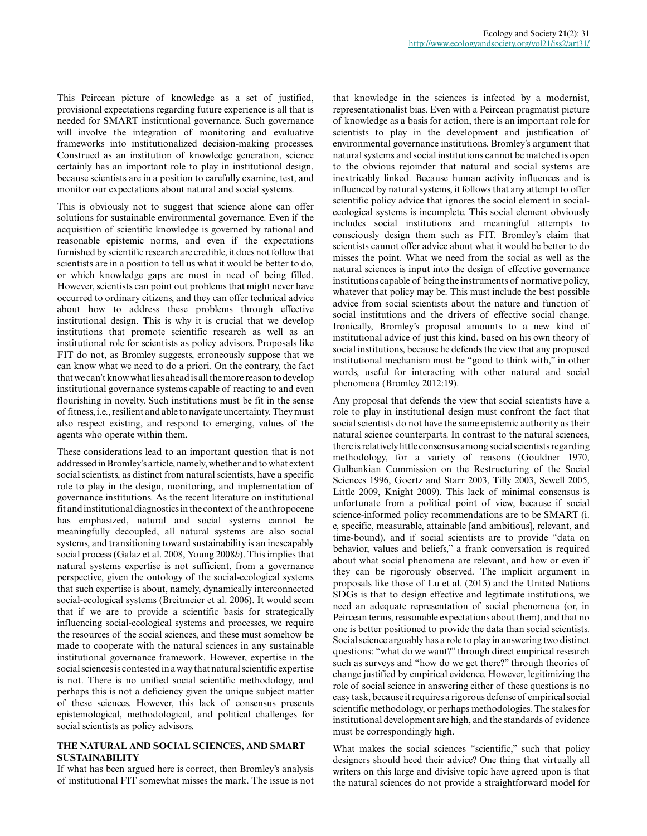This Peircean picture of knowledge as a set of justified, provisional expectations regarding future experience is all that is needed for SMART institutional governance. Such governance will involve the integration of monitoring and evaluative frameworks into institutionalized decision-making processes. Construed as an institution of knowledge generation, science certainly has an important role to play in institutional design, because scientists are in a position to carefully examine, test, and monitor our expectations about natural and social systems.

This is obviously not to suggest that science alone can offer solutions for sustainable environmental governance. Even if the acquisition of scientific knowledge is governed by rational and reasonable epistemic norms, and even if the expectations furnished by scientific research are credible, it does not follow that scientists are in a position to tell us what it would be better to do, or which knowledge gaps are most in need of being filled. However, scientists can point out problems that might never have occurred to ordinary citizens, and they can offer technical advice about how to address these problems through effective institutional design. This is why it is crucial that we develop institutions that promote scientific research as well as an institutional role for scientists as policy advisors. Proposals like FIT do not, as Bromley suggests, erroneously suppose that we can know what we need to do a priori. On the contrary, the fact that we can't know what lies ahead is all the more reason to develop institutional governance systems capable of reacting to and even flourishing in novelty. Such institutions must be fit in the sense of fitness, i.e., resilient and able to navigate uncertainty. They must also respect existing, and respond to emerging, values of the agents who operate within them.

These considerations lead to an important question that is not addressed in Bromley's article, namely, whether and to what extent social scientists, as distinct from natural scientists, have a specific role to play in the design, monitoring, and implementation of governance institutions. As the recent literature on institutional fit and institutional diagnostics in the context of the anthropocene has emphasized, natural and social systems cannot be meaningfully decoupled, all natural systems are also social systems, and transitioning toward sustainability is an inescapably social process (Galaz et al. 2008, Young 2008*b*). This implies that natural systems expertise is not sufficient, from a governance perspective, given the ontology of the social-ecological systems that such expertise is about, namely, dynamically interconnected social-ecological systems (Breitmeier et al. 2006). It would seem that if we are to provide a scientific basis for strategically influencing social-ecological systems and processes, we require the resources of the social sciences, and these must somehow be made to cooperate with the natural sciences in any sustainable institutional governance framework. However, expertise in the social sciences is contested in a way that natural scientific expertise is not. There is no unified social scientific methodology, and perhaps this is not a deficiency given the unique subject matter of these sciences. However, this lack of consensus presents epistemological, methodological, and political challenges for social scientists as policy advisors.

## **THE NATURAL AND SOCIAL SCIENCES, AND SMART SUSTAINABILITY**

If what has been argued here is correct, then Bromley's analysis of institutional FIT somewhat misses the mark. The issue is not that knowledge in the sciences is infected by a modernist, representationalist bias. Even with a Peircean pragmatist picture of knowledge as a basis for action, there is an important role for scientists to play in the development and justification of environmental governance institutions. Bromley's argument that natural systems and social institutions cannot be matched is open to the obvious rejoinder that natural and social systems are inextricably linked. Because human activity influences and is influenced by natural systems, it follows that any attempt to offer scientific policy advice that ignores the social element in socialecological systems is incomplete. This social element obviously includes social institutions and meaningful attempts to consciously design them such as FIT. Bromley's claim that scientists cannot offer advice about what it would be better to do misses the point. What we need from the social as well as the natural sciences is input into the design of effective governance institutions capable of being the instruments of normative policy, whatever that policy may be. This must include the best possible advice from social scientists about the nature and function of social institutions and the drivers of effective social change. Ironically, Bromley's proposal amounts to a new kind of institutional advice of just this kind, based on his own theory of social institutions, because he defends the view that any proposed institutional mechanism must be "good to think with," in other words, useful for interacting with other natural and social phenomena (Bromley 2012:19).

Any proposal that defends the view that social scientists have a role to play in institutional design must confront the fact that social scientists do not have the same epistemic authority as their natural science counterparts. In contrast to the natural sciences, there is relatively little consensus among social scientists regarding methodology, for a variety of reasons (Gouldner 1970, Gulbenkian Commission on the Restructuring of the Social Sciences 1996, Goertz and Starr 2003, Tilly 2003, Sewell 2005, Little 2009, Knight 2009). This lack of minimal consensus is unfortunate from a political point of view, because if social science-informed policy recommendations are to be SMART (i. e, specific, measurable, attainable [and ambitious], relevant, and time-bound), and if social scientists are to provide "data on behavior, values and beliefs," a frank conversation is required about what social phenomena are relevant, and how or even if they can be rigorously observed. The implicit argument in proposals like those of Lu et al. (2015) and the United Nations SDGs is that to design effective and legitimate institutions, we need an adequate representation of social phenomena (or, in Peircean terms, reasonable expectations about them), and that no one is better positioned to provide the data than social scientists. Social science arguably has a role to play in answering two distinct questions: "what do we want?" through direct empirical research such as surveys and "how do we get there?" through theories of change justified by empirical evidence. However, legitimizing the role of social science in answering either of these questions is no easy task, because it requires a rigorous defense of empirical social scientific methodology, or perhaps methodologies. The stakes for institutional development are high, and the standards of evidence must be correspondingly high.

What makes the social sciences "scientific," such that policy designers should heed their advice? One thing that virtually all writers on this large and divisive topic have agreed upon is that the natural sciences do not provide a straightforward model for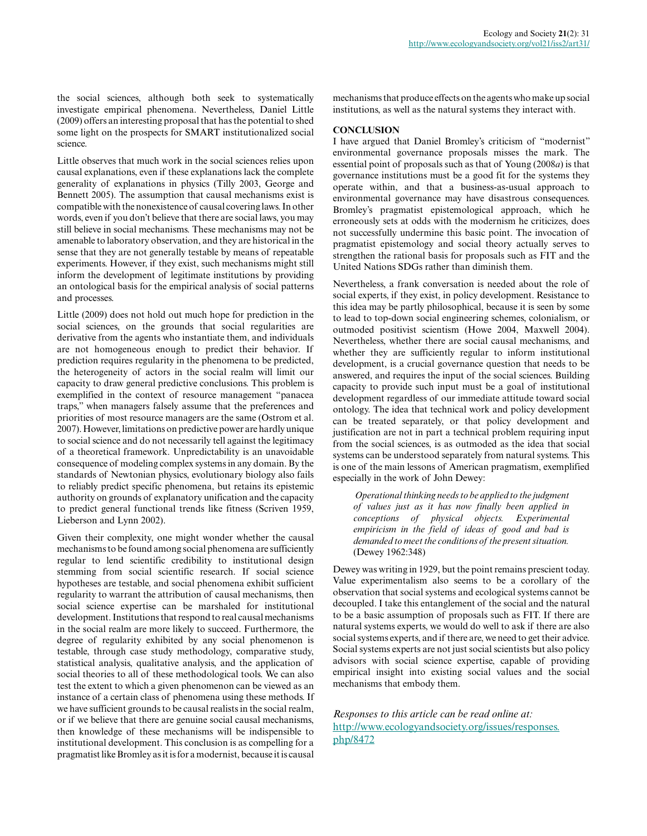the social sciences, although both seek to systematically investigate empirical phenomena. Nevertheless, Daniel Little (2009) offers an interesting proposal that has the potential to shed some light on the prospects for SMART institutionalized social science.

Little observes that much work in the social sciences relies upon causal explanations, even if these explanations lack the complete generality of explanations in physics (Tilly 2003, George and Bennett 2005). The assumption that causal mechanisms exist is compatible with the nonexistence of causal covering laws. In other words, even if you don't believe that there are social laws, you may still believe in social mechanisms. These mechanisms may not be amenable to laboratory observation, and they are historical in the sense that they are not generally testable by means of repeatable experiments. However, if they exist, such mechanisms might still inform the development of legitimate institutions by providing an ontological basis for the empirical analysis of social patterns and processes.

Little (2009) does not hold out much hope for prediction in the social sciences, on the grounds that social regularities are derivative from the agents who instantiate them, and individuals are not homogeneous enough to predict their behavior. If prediction requires regularity in the phenomena to be predicted, the heterogeneity of actors in the social realm will limit our capacity to draw general predictive conclusions. This problem is exemplified in the context of resource management "panacea traps," when managers falsely assume that the preferences and priorities of most resource managers are the same (Ostrom et al. 2007). However, limitations on predictive power are hardly unique to social science and do not necessarily tell against the legitimacy of a theoretical framework. Unpredictability is an unavoidable consequence of modeling complex systems in any domain. By the standards of Newtonian physics, evolutionary biology also fails to reliably predict specific phenomena, but retains its epistemic authority on grounds of explanatory unification and the capacity to predict general functional trends like fitness (Scriven 1959, Lieberson and Lynn 2002).

Given their complexity, one might wonder whether the causal mechanisms to be found among social phenomena are sufficiently regular to lend scientific credibility to institutional design stemming from social scientific research. If social science hypotheses are testable, and social phenomena exhibit sufficient regularity to warrant the attribution of causal mechanisms, then social science expertise can be marshaled for institutional development. Institutions that respond to real causal mechanisms in the social realm are more likely to succeed. Furthermore, the degree of regularity exhibited by any social phenomenon is testable, through case study methodology, comparative study, statistical analysis, qualitative analysis, and the application of social theories to all of these methodological tools. We can also test the extent to which a given phenomenon can be viewed as an instance of a certain class of phenomena using these methods. If we have sufficient grounds to be causal realists in the social realm, or if we believe that there are genuine social causal mechanisms, then knowledge of these mechanisms will be indispensible to institutional development. This conclusion is as compelling for a pragmatist like Bromley as it is for a modernist, because it is causal

mechanisms that produce effects on the agents who make up social institutions, as well as the natural systems they interact with.

## **CONCLUSION**

I have argued that Daniel Bromley's criticism of "modernist" environmental governance proposals misses the mark. The essential point of proposals such as that of Young (2008*a*) is that governance institutions must be a good fit for the systems they operate within, and that a business-as-usual approach to environmental governance may have disastrous consequences. Bromley's pragmatist epistemological approach, which he erroneously sets at odds with the modernism he criticizes, does not successfully undermine this basic point. The invocation of pragmatist epistemology and social theory actually serves to strengthen the rational basis for proposals such as FIT and the United Nations SDGs rather than diminish them.

Nevertheless, a frank conversation is needed about the role of social experts, if they exist, in policy development. Resistance to this idea may be partly philosophical, because it is seen by some to lead to top-down social engineering schemes, colonialism, or outmoded positivist scientism (Howe 2004, Maxwell 2004). Nevertheless, whether there are social causal mechanisms, and whether they are sufficiently regular to inform institutional development, is a crucial governance question that needs to be answered, and requires the input of the social sciences. Building capacity to provide such input must be a goal of institutional development regardless of our immediate attitude toward social ontology. The idea that technical work and policy development can be treated separately, or that policy development and justification are not in part a technical problem requiring input from the social sciences, is as outmoded as the idea that social systems can be understood separately from natural systems. This is one of the main lessons of American pragmatism, exemplified especially in the work of John Dewey:

*Operational thinking needs to be applied to the judgment of values just as it has now finally been applied in conceptions of physical objects. Experimental empiricism in the field of ideas of good and bad is demanded to meet the conditions of the present situation.* (Dewey 1962:348)

Dewey was writing in 1929, but the point remains prescient today. Value experimentalism also seems to be a corollary of the observation that social systems and ecological systems cannot be decoupled. I take this entanglement of the social and the natural to be a basic assumption of proposals such as FIT. If there are natural systems experts, we would do well to ask if there are also social systems experts, and if there are, we need to get their advice. Social systems experts are not just social scientists but also policy advisors with social science expertise, capable of providing empirical insight into existing social values and the social mechanisms that embody them.

*Responses to this article can be read online at:* [http://www.ecologyandsociety.org/issues/responses.](http://www.ecologyandsociety.org/issues/responses.php/8472) [php/8472](http://www.ecologyandsociety.org/issues/responses.php/8472)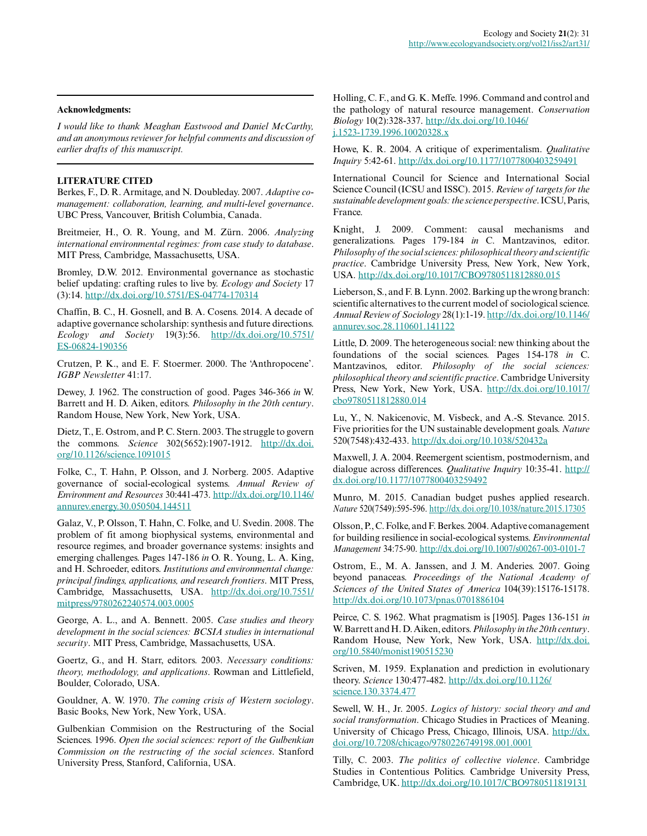#### **Acknowledgments:**

*I would like to thank Meaghan Eastwood and Daniel McCarthy, and an anonymous reviewer for helpful comments and discussion of earlier drafts of this manuscript.*

#### **LITERATURE CITED**

Berkes, F., D. R. Armitage, and N. Doubleday. 2007. *Adaptive comanagement: collaboration, learning, and multi-level governance*. UBC Press, Vancouver, British Columbia, Canada.

Breitmeier, H., O. R. Young, and M. Zürn. 2006. *Analyzing international environmental regimes: from case study to database*. MIT Press, Cambridge, Massachusetts, USA.

Bromley, D.W. 2012. Environmental governance as stochastic belief updating: crafting rules to live by. *Ecology and Society* 17 (3):14. [http://dx.doi.org/10.5751/ES-04774-170314](http://dx.doi.org/10.5751%2FES-04774-170314)

Chaffin, B. C., H. Gosnell, and B. A. Cosens. 2014. A decade of adaptive governance scholarship: synthesis and future directions. *Ecology and Society* 19(3):56. [http://dx.doi.org/10.5751/](http://dx.doi.org/10.5751%2FES-06824-190356) [ES-06824-190356](http://dx.doi.org/10.5751%2FES-06824-190356)

Crutzen, P. K., and E. F. Stoermer. 2000. The 'Anthropocene'. *IGBP Newsletter* 41:17.

Dewey, J. 1962. The construction of good. Pages 346-366 *in* W. Barrett and H. D. Aiken, editors. *Philosophy in the 20th century*. Random House, New York, New York, USA.

Dietz, T., E. Ostrom, and P. C. Stern. 2003. The struggle to govern the commons. *Science* 302(5652):1907-1912. [http://dx.doi.](http://dx.doi.org/10.1126%2Fscience.1091015) [org/10.1126/science.1091015](http://dx.doi.org/10.1126%2Fscience.1091015)

Folke, C., T. Hahn, P. Olsson, and J. Norberg. 2005. Adaptive governance of social-ecological systems. *Annual Review of Environment and Resources* 30:441-473. [http://dx.doi.org/10.1146/](http://dx.doi.org/10.1146%2Fannurev.energy.30.050504.144511) [annurev.energy.30.050504.144511](http://dx.doi.org/10.1146%2Fannurev.energy.30.050504.144511) 

Galaz, V., P. Olsson, T. Hahn, C. Folke, and U. Svedin. 2008. The problem of fit among biophysical systems, environmental and resource regimes, and broader governance systems: insights and emerging challenges. Pages 147-186 *in* O. R. Young, L. A. King, and H. Schroeder, editors. *Institutions and environmental change: principal findings, applications, and research frontiers*. MIT Press, Cambridge, Massachusetts, USA. [http://dx.doi.org/10.7551/](http://dx.doi.org/10.7551%2Fmitpress%2F9780262240574.003.0005) [mitpress/9780262240574.003.0005](http://dx.doi.org/10.7551%2Fmitpress%2F9780262240574.003.0005)

George, A. L., and A. Bennett. 2005. *Case studies and theory development in the social sciences: BCSIA studies in international security*. MIT Press, Cambridge, Massachusetts, USA.

Goertz, G., and H. Starr, editors. 2003. *Necessary conditions: theory, methodology, and applications*. Rowman and Littlefield, Boulder, Colorado, USA.

Gouldner, A. W. 1970. *The coming crisis of Western sociology*. Basic Books, New York, New York, USA.

Gulbenkian Commision on the Restructuring of the Social Sciences. 1996. *Open the social sciences: report of the Gulbenkian Commission on the restructing of the social sciences*. Stanford University Press, Stanford, California, USA.

Holling, C. F., and G. K. Meffe. 1996. Command and control and the pathology of natural resource management. *Conservation Biology* 10(2):328-337. [http://dx.doi.org/10.1046/](http://dx.doi.org/10.1046%2Fj.1523-1739.1996.10020328.x) [j.1523-1739.1996.10020328.x](http://dx.doi.org/10.1046%2Fj.1523-1739.1996.10020328.x) 

Howe, K. R. 2004. A critique of experimentalism. *Qualitative Inquiry* 5:42-61. [http://dx.doi.org/10.1177/1077800403259491](http://dx.doi.org/10.1177%2F1077800403259491)

International Council for Science and International Social Science Council (ICSU and ISSC). 2015. *Review of targets for the sustainable development goals: the science perspective*. ICSU, Paris, France.

Knight, J. 2009. Comment: causal mechanisms and generalizations. Pages 179-184 *in* C. Mantzavinos, editor. *Philosophy of the social sciences: philosophical theory and scientific practice*. Cambridge University Press, New York, New York, USA. [http://dx.doi.org/10.1017/CBO9780511812880.015](http://dx.doi.org/10.1017%2FCBO9780511812880.015)

Lieberson, S., and F. B. Lynn. 2002. Barking up the wrong branch: scientific alternatives to the current model of sociological science. *Annual Review of Sociology* 28(1):1-19. [http://dx.doi.org/10.1146/](http://dx.doi.org/10.1146%2Fannurev.soc.28.110601.141122) [annurev.soc.28.110601.141122](http://dx.doi.org/10.1146%2Fannurev.soc.28.110601.141122)

Little, D. 2009. The heterogeneous social: new thinking about the foundations of the social sciences. Pages 154-178 *in* C. Mantzavinos, editor. *Philosophy of the social sciences: philosophical theory and scientific practice*. Cambridge University Press, New York, New York, USA. [http://dx.doi.org/10.1017/](http://dx.doi.org/10.1017%2Fcbo9780511812880.014) [cbo9780511812880.014](http://dx.doi.org/10.1017%2Fcbo9780511812880.014)

Lu, Y., N. Nakicenovic, M. Visbeck, and A.-S. Stevance. 2015. Five priorities for the UN sustainable development goals. *Nature* 520(7548):432-433. [http://dx.doi.org/10.1038/520432a](http://dx.doi.org/10.1038%2F520432a)

Maxwell, J. A. 2004. Reemergent scientism, postmodernism, and dialogue across differences. *Qualitative Inquiry* 10:35-41. [http://](http://dx.doi.org/10.1177%2F1077800403259492) [dx.doi.org/10.1177/1077800403259492](http://dx.doi.org/10.1177%2F1077800403259492) 

Munro, M. 2015. Canadian budget pushes applied research. *Nature* 520(7549):595-596. [http://dx.doi.org/10.1038/nature.2015.17305](http://dx.doi.org/10.1038%2Fnature.2015.17305)

Olsson, P., C. Folke, and F. Berkes. 2004. Adaptive comanagement for building resilience in social-ecological systems. *Environmental Management* 34:75-90. [http://dx.doi.org/10.1007/s00267-003-0101-7](http://dx.doi.org/10.1007%2Fs00267-003-0101-7) 

Ostrom, E., M. A. Janssen, and J. M. Anderies. 2007. Going beyond panaceas. *Proceedings of the National Academy of Sciences of the United States of America* 104(39):15176-15178. [http://dx.doi.org/10.1073/pnas.0701886104](http://dx.doi.org/10.1073%2Fpnas.0701886104)

Peirce, C. S. 1962. What pragmatism is [1905]. Pages 136-151 *in* W. Barrett and H. D. Aiken, editors. *Philosophy in the 20th century*. Random House, New York, New York, USA. [http://dx.doi.](http://dx.doi.org/10.5840%2Fmonist190515230) [org/10.5840/monist190515230](http://dx.doi.org/10.5840%2Fmonist190515230) 

Scriven, M. 1959. Explanation and prediction in evolutionary theory. *Science* 130:477-482. [http://dx.doi.org/10.1126/](http://dx.doi.org/10.1126%2Fscience.130.3374.477) [science.130.3374.477](http://dx.doi.org/10.1126%2Fscience.130.3374.477)

Sewell, W. H., Jr. 2005. *Logics of history: social theory and and social transformation*. Chicago Studies in Practices of Meaning. University of Chicago Press, Chicago, Illinois, USA. [http://dx.](http://dx.doi.org/10.7208%2Fchicago%2F9780226749198.001.0001) [doi.org/10.7208/chicago/9780226749198.001.0001](http://dx.doi.org/10.7208%2Fchicago%2F9780226749198.001.0001)

Tilly, C. 2003. *The politics of collective violence*. Cambridge Studies in Contentious Politics. Cambridge University Press, Cambridge, UK. [http://dx.doi.org/10.1017/CBO9780511819131](http://dx.doi.org/10.1017%2FCBO9780511819131)